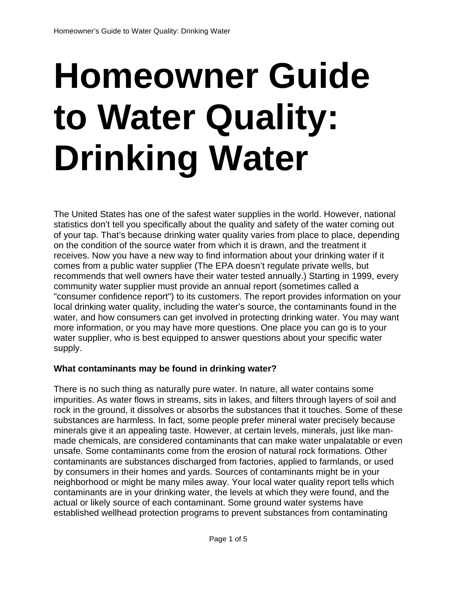# **Homeowner Guide to Water Quality: Drinking Water**

The United States has one of the safest water supplies in the world. However, national statistics don't tell you specifically about the quality and safety of the water coming out of your tap. That's because drinking water quality varies from place to place, depending on the condition of the source water from which it is drawn, and the treatment it receives. Now you have a new way to find information about your drinking water if it comes from a public water supplier (The EPA doesn't regulate private wells, but recommends that well owners have their water tested annually.) Starting in 1999, every community water supplier must provide an annual report (sometimes called a "consumer confidence report") to its customers. The report provides information on your local drinking water quality, including the water's source, the contaminants found in the water, and how consumers can get involved in protecting drinking water. You may want more information, or you may have more questions. One place you can go is to your water supplier, who is best equipped to answer questions about your specific water supply.

# **What contaminants may be found in drinking water?**

There is no such thing as naturally pure water. In nature, all water contains some impurities. As water flows in streams, sits in lakes, and filters through layers of soil and rock in the ground, it dissolves or absorbs the substances that it touches. Some of these substances are harmless. In fact, some people prefer mineral water precisely because minerals give it an appealing taste. However, at certain levels, minerals, just like manmade chemicals, are considered contaminants that can make water unpalatable or even unsafe. Some contaminants come from the erosion of natural rock formations. Other contaminants are substances discharged from factories, applied to farmlands, or used by consumers in their homes and yards. Sources of contaminants might be in your neighborhood or might be many miles away. Your local water quality report tells which contaminants are in your drinking water, the levels at which they were found, and the actual or likely source of each contaminant. Some ground water systems have established wellhead protection programs to prevent substances from contaminating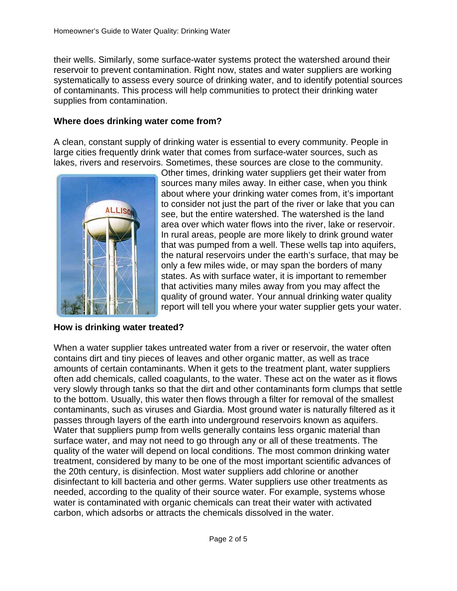their wells. Similarly, some surface-water systems protect the watershed around their reservoir to prevent contamination. Right now, states and water suppliers are working systematically to assess every source of drinking water, and to identify potential sources of contaminants. This process will help communities to protect their drinking water supplies from contamination.

#### **Where does drinking water come from?**

A clean, constant supply of drinking water is essential to every community. People in large cities frequently drink water that comes from surface-water sources, such as lakes, rivers and reservoirs. Sometimes, these sources are close to the community.



Other times, drinking water suppliers get their water from sources many miles away. In either case, when you think about where your drinking water comes from, it's important to consider not just the part of the river or lake that you can see, but the entire watershed. The watershed is the land area over which water flows into the river, lake or reservoir. In rural areas, people are more likely to drink ground water that was pumped from a well. These wells tap into aquifers, the natural reservoirs under the earth's surface, that may be only a few miles wide, or may span the borders of many states. As with surface water, it is important to remember that activities many miles away from you may affect the quality of ground water. Your annual drinking water quality report will tell you where your water supplier gets your water.

#### **How is drinking water treated?**

When a water supplier takes untreated water from a river or reservoir, the water often contains dirt and tiny pieces of leaves and other organic matter, as well as trace amounts of certain contaminants. When it gets to the treatment plant, water suppliers often add chemicals, called coagulants, to the water. These act on the water as it flows very slowly through tanks so that the dirt and other contaminants form clumps that settle to the bottom. Usually, this water then flows through a filter for removal of the smallest contaminants, such as viruses and Giardia. Most ground water is naturally filtered as it passes through layers of the earth into underground reservoirs known as aquifers. Water that suppliers pump from wells generally contains less organic material than surface water, and may not need to go through any or all of these treatments. The quality of the water will depend on local conditions. The most common drinking water treatment, considered by many to be one of the most important scientific advances of the 20th century, is disinfection. Most water suppliers add chlorine or another disinfectant to kill bacteria and other germs. Water suppliers use other treatments as needed, according to the quality of their source water. For example, systems whose water is contaminated with organic chemicals can treat their water with activated carbon, which adsorbs or attracts the chemicals dissolved in the water.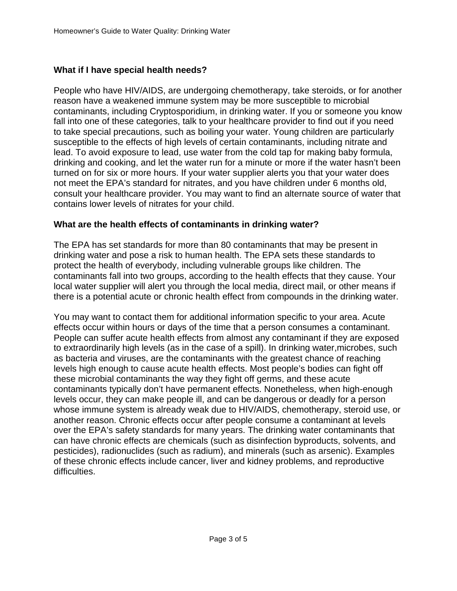## **What if I have special health needs?**

People who have HIV/AIDS, are undergoing chemotherapy, take steroids, or for another reason have a weakened immune system may be more susceptible to microbial contaminants, including Cryptosporidium, in drinking water. If you or someone you know fall into one of these categories, talk to your healthcare provider to find out if you need to take special precautions, such as boiling your water. Young children are particularly susceptible to the effects of high levels of certain contaminants, including nitrate and lead. To avoid exposure to lead, use water from the cold tap for making baby formula, drinking and cooking, and let the water run for a minute or more if the water hasn't been turned on for six or more hours. If your water supplier alerts you that your water does not meet the EPA's standard for nitrates, and you have children under 6 months old, consult your healthcare provider. You may want to find an alternate source of water that contains lower levels of nitrates for your child.

### **What are the health effects of contaminants in drinking water?**

The EPA has set standards for more than 80 contaminants that may be present in drinking water and pose a risk to human health. The EPA sets these standards to protect the health of everybody, including vulnerable groups like children. The contaminants fall into two groups, according to the health effects that they cause. Your local water supplier will alert you through the local media, direct mail, or other means if there is a potential acute or chronic health effect from compounds in the drinking water.

You may want to contact them for additional information specific to your area. Acute effects occur within hours or days of the time that a person consumes a contaminant. People can suffer acute health effects from almost any contaminant if they are exposed to extraordinarily high levels (as in the case of a spill). In drinking water,microbes, such as bacteria and viruses, are the contaminants with the greatest chance of reaching levels high enough to cause acute health effects. Most people's bodies can fight off these microbial contaminants the way they fight off germs, and these acute contaminants typically don't have permanent effects. Nonetheless, when high-enough levels occur, they can make people ill, and can be dangerous or deadly for a person whose immune system is already weak due to HIV/AIDS, chemotherapy, steroid use, or another reason. Chronic effects occur after people consume a contaminant at levels over the EPA's safety standards for many years. The drinking water contaminants that can have chronic effects are chemicals (such as disinfection byproducts, solvents, and pesticides), radionuclides (such as radium), and minerals (such as arsenic). Examples of these chronic effects include cancer, liver and kidney problems, and reproductive difficulties.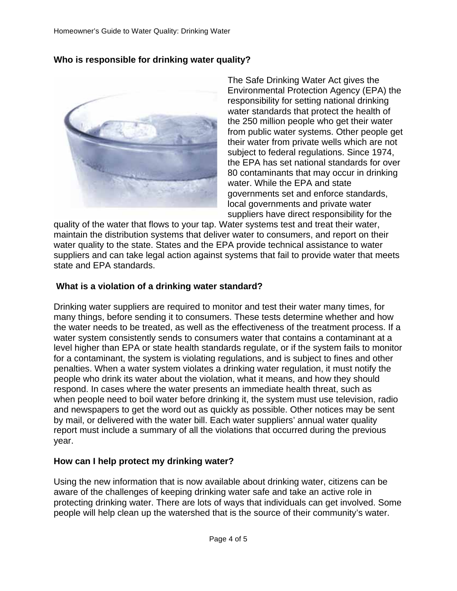**Who is responsible for drinking water quality?**



The Safe Drinking Water Act gives the Environmental Protection Agency (EPA) the responsibility for setting national drinking water standards that protect the health of the 250 million people who get their water from public water systems. Other people get their water from private wells which are not subject to federal regulations. Since 1974, the EPA has set national standards for over 80 contaminants that may occur in drinking water. While the EPA and state governments set and enforce standards, local governments and private water suppliers have direct responsibility for the

quality of the water that flows to your tap. Water systems test and treat their water, maintain the distribution systems that deliver water to consumers, and report on their water quality to the state. States and the EPA provide technical assistance to water suppliers and can take legal action against systems that fail to provide water that meets state and EPA standards.

## **What is a violation of a drinking water standard?**

Drinking water suppliers are required to monitor and test their water many times, for many things, before sending it to consumers. These tests determine whether and how the water needs to be treated, as well as the effectiveness of the treatment process. If a water system consistently sends to consumers water that contains a contaminant at a level higher than EPA or state health standards regulate, or if the system fails to monitor for a contaminant, the system is violating regulations, and is subject to fines and other penalties. When a water system violates a drinking water regulation, it must notify the people who drink its water about the violation, what it means, and how they should respond. In cases where the water presents an immediate health threat, such as when people need to boil water before drinking it, the system must use television, radio and newspapers to get the word out as quickly as possible. Other notices may be sent by mail, or delivered with the water bill. Each water suppliers' annual water quality report must include a summary of all the violations that occurred during the previous year.

### **How can I help protect my drinking water?**

Using the new information that is now available about drinking water, citizens can be aware of the challenges of keeping drinking water safe and take an active role in protecting drinking water. There are lots of ways that individuals can get involved. Some people will help clean up the watershed that is the source of their community's water.